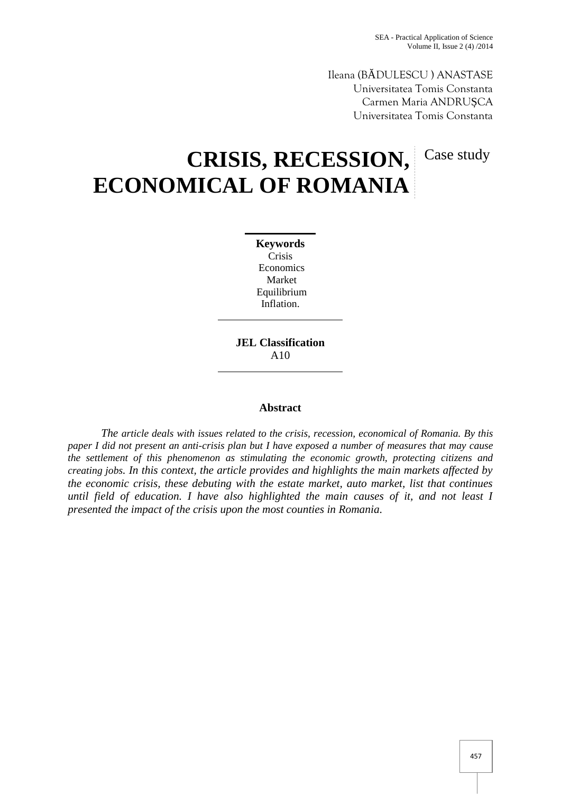Case study

Ileana (B DULESCU ) ANASTASE Universitatea Tomis Constanta Carmen Maria ANDRU CA Universitatea Tomis Constanta

# **CRISIS, RECESSION, ECONOMICAL OF ROMANIA**

**Keywords** Crisis Economics Market Equilibrium Inflation.

**JEL Classification** A10

### **Abstract**

*The article deals with issues related to the crisis, recession, economical of Romania. By this paper I did not present an anti-crisis plan but I have exposed a number of measures that may cause the settlement of this phenomenon as stimulating the economic growth, protecting citizens and creating jobs. In this context, the article provides and highlights the main markets affected by the economic crisis, these debuting with the estate market, auto market, list that continues until field of education. I have also highlighted the main causes of it, and not least I presented the impact of the crisis upon the most counties in Romania.*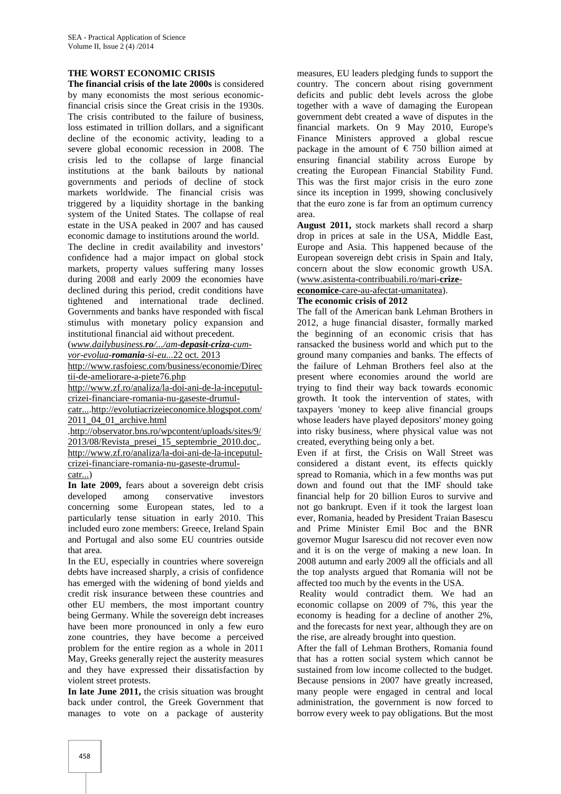#### **THE WORST ECONOMIC CRISIS**

**The financial crisis of the late 2000s** is considered by many economists the most serious economicfinancial crisis since the Great crisis in the 1930s. The crisis contributed to the failure of business, loss estimated in trillion dollars, and a significant decline of the economic activity, leading to a severe global economic recession in 2008. The crisis led to the collapse of large financial institutions at the bank bailouts by national governments and periods of decline of stock markets worldwide. The financial crisis was triggered by a liquidity shortage in the banking system of the United States. The collapse of real estate in the USA peaked in 2007 and has caused economic damage to institutions around the world.

The decline in credit availability and investors' confidence had a major impact on global stock markets, property values suffering many losses during 2008 and early 2009 the economies have declined during this period, credit conditions have tightened and international trade declined. Governments and banks have responded with fiscal stimulus with monetary policy expansion and institutional financial aid without precedent.

(*www.dailybusiness.ro/.../am-depasit-criza-cum vor-evolua-romania-si-eu...*22 oct. 2013

http://www.rasfoiesc.com/business/economie/Direc tii-de-ameliorare-a-piete76.php

http://www.zf.ro/analiza/la-doi-ani-de-la-inceputul crizei-financiare-romania-nu-gaseste-drumul-

catr....http://evolutiacrizeieconomice.blogspot.com/ 2011\_04\_01\_archive.html

.http://observator.bns.ro/wpcontent/uploads/sites/9/ 2013/08/Revista\_presei\_15\_septembrie\_2010.doc,. http://www.zf.ro/analiza/la-doi-ani-de-la-inceputul crizei-financiare-romania-nu-gaseste-drumul catr...)

**In late 2009,** fears about a sovereign debt crisis developed among conservative investors concerning some European states, led to a particularly tense situation in early 2010. This included euro zone members: Greece, Ireland Spain and Portugal and also some EU countries outside

that area. In the EU, especially in countries where sovereign debts have increased sharply, a crisis of confidence has emerged with the widening of bond yields and credit risk insurance between these countries and other EU members, the most important country being Germany. While the sovereign debt increases have been more pronounced in only a few euro zone countries, they have become a perceived problem for the entire region as a whole in 2011 May, Greeks generally reject the austerity measures and they have expressed their dissatisfaction by violent street protests.

**In late June 2011,** the crisis situation was brought back under control, the Greek Government that manages to vote on a package of austerity

measures, EU leaders pledging funds to support the country. The concern about rising government deficits and public debt levels across the globe together with a wave of damaging the European government debt created a wave of disputes in the financial markets. On 9 May 2010, Europe's Finance Ministers approved a global rescue package in the amount of  $\epsilon$  750 billion aimed at ensuring financial stability across Europe by creating the European Financial Stability Fund. This was the first major crisis in the euro zone since its inception in 1999, showing conclusively that the euro zone is far from an optimum currency area.

**August 2011,** stock markets shall record a sharp drop in prices at sale in the USA, Middle East, Europe and Asia. This happened because of the European sovereign debt crisis in Spain and Italy, concern about the slow economic growth USA. (www.asistenta-contribuabili.ro/mari-**crize**-

# **economice**-care-au-afectat-umanitatea).

#### **The economic crisis of 2012**

The fall of the American bank Lehman Brothers in 2012, a huge financial disaster, formally marked the beginning of an economic crisis that has ransacked the business world and which put to the ground many companies and banks. The effects of the failure of Lehman Brothers feel also at the present where economies around the world are trying to find their way back towards economic growth. It took the intervention of states, with taxpayers 'money to keep alive financial groups whose leaders have played depositors' money going into risky business, where physical value was not created, everything being only a bet.

Even if at first, the Crisis on Wall Street was considered a distant event, its effects quickly spread to Romania, which in a few months was put down and found out that the IMF should take financial help for 20 billion Euros to survive and not go bankrupt. Even if it took the largest loan ever, Romania, headed by President Traian Basescu and Prime Minister Emil Boc and the BNR governor Mugur Isarescu did not recover even now and it is on the verge of making a new loan. In 2008 autumn and early 2009 all the officials and all the top analysts argued that Romania will not be affected too much by the events in the USA.

Reality would contradict them. We had an economic collapse on 2009 of 7%, this year the economy is heading for a decline of another 2%, and the forecasts for next year, although they are on the rise, are already brought into question.

After the fall of Lehman Brothers, Romania found that has a rotten social system which cannot be sustained from low income collected to the budget. Because pensions in 2007 have greatly increased, many people were engaged in central and local administration, the government is now forced to borrow every week to pay obligations. But the most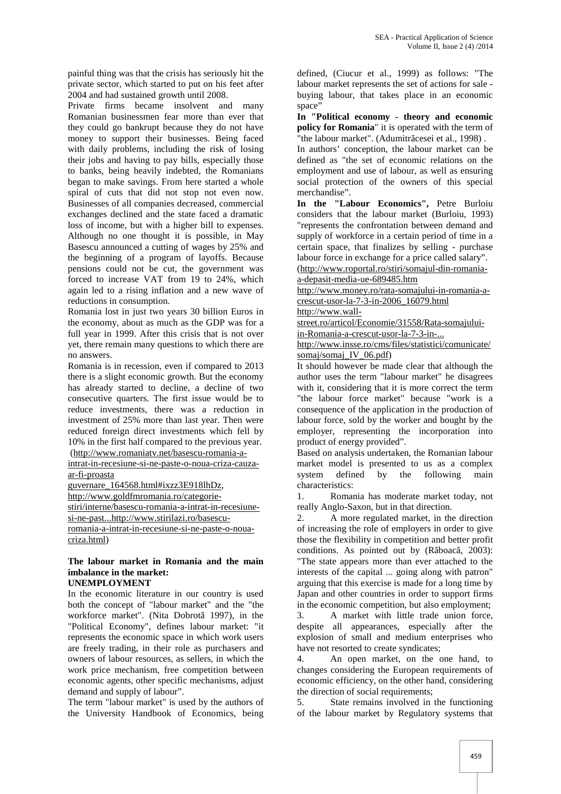painful thing was that the crisis has seriously hit the private sector, which started to put on his feet after 2004 and had sustained growth until 2008.

Private firms became insolvent and many Romanian businessmen fear more than ever that they could go bankrupt because they do not have money to support their businesses. Being faced with daily problems, including the risk of losing their jobs and having to pay bills, especially those to banks, being heavily indebted, the Romanians began to make savings. From here started a whole spiral of cuts that did not stop not even now. Businesses of all companies decreased, commercial exchanges declined and the state faced a dramatic loss of income, but with a higher bill to expenses. Although no one thought it is possible, in May Basescu announced a cutting of wages by 25% and the beginning of a program of layoffs. Because pensions could not be cut, the government was forced to increase VAT from 19 to 24%, which again led to a rising inflation and a new wave of reductions in consumption.

Romania lost in just two years 30 billion Euros in the economy, about as much as the GDP was for a full year in 1999. After this crisis that is not over yet, there remain many questions to which there are no answers.

Romania is in recession, even if compared to 2013 there is a slight economic growth. But the economy has already started to decline, a decline of two consecutive quarters. The first issue would be to reduce investments, there was a reduction in investment of 25% more than last year. Then were reduced foreign direct investments which fell by 10% in the first half compared to the previous year.

(http://www.romaniatv.net/basescu-romania-a-

intrat-in-recesiune-si-ne-paste-o-noua-criza-cauza ar-fi-proasta

guvernare\_164568.html#ixzz3E918lhDz,

http://www.goldfmromania.ro/categorie stiri/interne/basescu-romania-a-intrat-in-recesiune-

si-ne-past...http://www.stirilazi.ro/basescuromania-a-intrat-in-recesiune-si-ne-paste-o-noua-

criza.html)

# **The labour market in Romania and the main imbalance in the market:**

## **UNEMPLOYMENT**

In the economic literature in our country is used both the concept of "labour market" and the "the workforce market". (Nita Dobrot 1997), in the "Political Economy", defines labour market: "it represents the economic space in which work users are freely trading, in their role as purchasers and owners of labour resources, as sellers, in which the work price mechanism, free competition between economic agents, other specific mechanisms, adjust demand and supply of labour".

The term "labour market" is used by the authors of the University Handbook of Economics, being

defined, (Ciucur et al., 1999) as follows: "The labour market represents the set of actions for sale buying labour, that takes place in an economic space'

**In "Political economy - theory and economic policy for Romania**" it is operated with the term of "the labour market". (Adumitr cesei et al., 1998) .

In authors' conception, the labour market can be defined as "the set of economic relations on the employment and use of labour, as well as ensuring social protection of the owners of this special merchandise".

**In the "Labour Economics",** Petre Burloiu considers that the labour market (Burloiu, 1993) "represents the confrontation between demand and supply of workforce in a certain period of time in a certain space, that finalizes by selling - purchase labour force in exchange for a price called salary". (http://www.roportal.ro/stiri/somajul-din-romania-

a-depasit-media-ue-689485.htm

http://www.money.ro/rata-somajului-in-romania-a crescut-usor-la-7-3-in-2006\_16079.html http://www.wall-

street.ro/articol/Economie/31558/Rata-somajuluiin-Romania-a-crescut-usor-la-7-3-in-...

http://www.insse.ro/cms/files/statistici/comunicate/ somaj/somaj\_IV\_06.pdf)

It should however be made clear that although the author uses the term "labour market" he disagrees with it, considering that it is more correct the term "the labour force market" because "work is a consequence of the application in the production of labour force, sold by the worker and bought by the employer, representing the incorporation into product of energy provided".

Based on analysis undertaken, the Romanian labour market model is presented to us as a complex system defined by the following main characteristics:

1. Romania has moderate market today, not really Anglo-Saxon, but in that direction.

2. A more regulated market, in the direction of increasing the role of employers in order to give those the flexibility in competition and better profit conditions. As pointed out by  $(R \text{ } boac \text{ }, 2003)$ : "The state appears more than ever attached to the interests of the capital ... going along with patron" arguing that this exercise is made for a long time by Japan and other countries in order to support firms in the economic competition, but also employment;

3. A market with little trade union force, despite all appearances, especially after the explosion of small and medium enterprises who have not resorted to create syndicates;

4. An open market, on the one hand, to changes considering the European requirements of economic efficiency, on the other hand, considering the direction of social requirements;

5. State remains involved in the functioning of the labour market by Regulatory systems that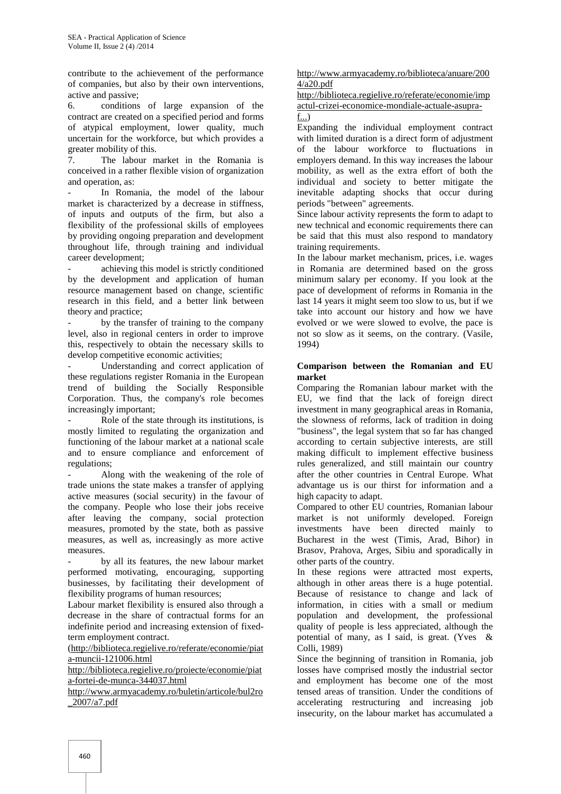contribute to the achievement of the performance of companies, but also by their own interventions, active and passive;

6. conditions of large expansion of the contract are created on a specified period and forms of atypical employment, lower quality, much uncertain for the workforce, but which provides a greater mobility of this.

7. The labour market in the Romania is conceived in a rather flexible vision of organization and operation, as:

In Romania, the model of the labour market is characterized by a decrease in stiffness, of inputs and outputs of the firm, but also a flexibility of the professional skills of employees by providing ongoing preparation and development throughout life, through training and individual career development;

achieving this model is strictly conditioned by the development and application of human resource management based on change, scientific research in this field, and a better link between theory and practice;

by the transfer of training to the company level, also in regional centers in order to improve this, respectively to obtain the necessary skills to develop competitive economic activities;

Understanding and correct application of these regulations register Romania in the European trend of building the Socially Responsible Corporation. Thus, the company's role becomes increasingly important;

Role of the state through its institutions, is mostly limited to regulating the organization and functioning of the labour market at a national scale and to ensure compliance and enforcement of regulations;

Along with the weakening of the role of trade unions the state makes a transfer of applying active measures (social security) in the favour of the company. People who lose their jobs receive after leaving the company, social protection measures, promoted by the state, both as passive measures, as well as, increasingly as more active measures.

by all its features, the new labour market performed motivating, encouraging, supporting businesses, by facilitating their development of flexibility programs of human resources;

Labour market flexibility is ensured also through a decrease in the share of contractual forms for an indefinite period and increasing extension of fixedterm employment contract.

(http://biblioteca.regielive.ro/referate/economie/piat a-muncii-121006.html

http://biblioteca.regielive.ro/proiecte/economie/piat a-fortei-de-munca-344037.html

http://www.armyacademy.ro/buletin/articole/bul2ro \_2007/a7.pdf

#### http://www.armyacademy.ro/biblioteca/anuare/200 4/a20.pdf

http://biblioteca.regielive.ro/referate/economie/imp actul-crizei-economice-mondiale-actuale-asupraf...)

Expanding the individual employment contract with limited duration is a direct form of adjustment of the labour workforce to fluctuations in employers demand. In this way increases the labour mobility, as well as the extra effort of both the individual and society to better mitigate the inevitable adapting shocks that occur during periods "between" agreements.

Since labour activity represents the form to adapt to new technical and economic requirements there can be said that this must also respond to mandatory training requirements.

In the labour market mechanism, prices, i.e. wages in Romania are determined based on the gross minimum salary per economy. If you look at the pace of development of reforms in Romania in the last 14 years it might seem too slow to us, but if we take into account our history and how we have evolved or we were slowed to evolve, the pace is not so slow as it seems, on the contrary. (Vasile, 1994)

#### **Comparison between the Romanian and EU market**

Comparing the Romanian labour market with the EU, we find that the lack of foreign direct investment in many geographical areas in Romania, the slowness of reforms, lack of tradition in doing "business", the legal system that so far has changed according to certain subjective interests, are still making difficult to implement effective business rules generalized, and still maintain our country after the other countries in Central Europe. What advantage us is our thirst for information and a high capacity to adapt.

Compared to other EU countries, Romanian labour market is not uniformly developed. Foreign investments have been directed mainly to Bucharest in the west (Timis, Arad, Bihor) in Brasov, Prahova, Arges, Sibiu and sporadically in other parts of the country.

In these regions were attracted most experts, although in other areas there is a huge potential. Because of resistance to change and lack of information, in cities with a small or medium population and development, the professional quality of people is less appreciated, although the potential of many, as I said, is great. (Yves & Colli, 1989)

Since the beginning of transition in Romania, job losses have comprised mostly the industrial sector and employment has become one of the most tensed areas of transition. Under the conditions of accelerating restructuring and increasing job insecurity, on the labour market has accumulated a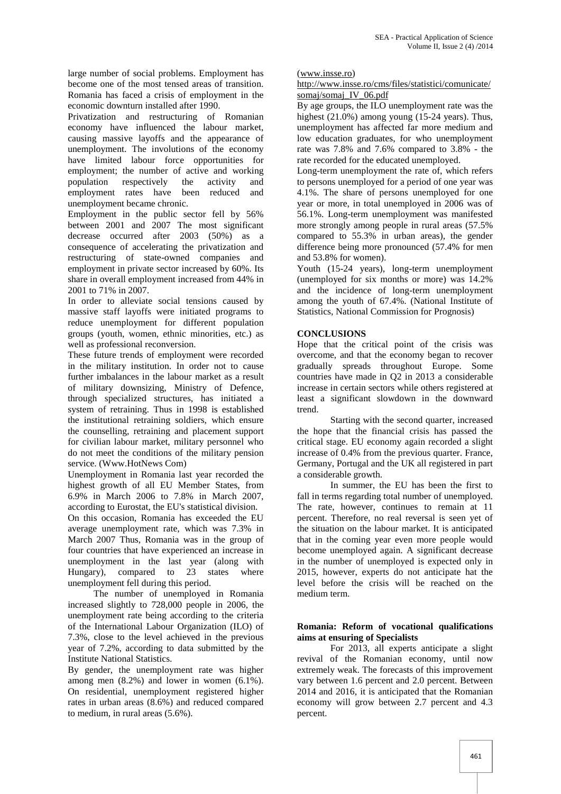large number of social problems. Employment has become one of the most tensed areas of transition. Romania has faced a crisis of employment in the economic downturn installed after 1990.

Privatization and restructuring of Romanian economy have influenced the labour market, causing massive layoffs and the appearance of unemployment. The involutions of the economy have limited labour force opportunities for employment; the number of active and working population respectively the activity and employment rates have been reduced and unemployment became chronic.

Employment in the public sector fell by 56% between 2001 and 2007 The most significant decrease occurred after 2003 (50%) as a consequence of accelerating the privatization and restructuring of state-owned companies and employment in private sector increased by 60%. Its share in overall employment increased from 44% in 2001 to 71% in 2007.

In order to alleviate social tensions caused by massive staff layoffs were initiated programs to reduce unemployment for different population groups (youth, women, ethnic minorities, etc.) as well as professional reconversion.

These future trends of employment were recorded in the military institution. In order not to cause further imbalances in the labour market as a result of military downsizing, Ministry of Defence, through specialized structures, has initiated a system of retraining. Thus in 1998 is established the institutional retraining soldiers, which ensure the counselling, retraining and placement support for civilian labour market, military personnel who do not meet the conditions of the military pension service. (Www.HotNews Com)

Unemployment in Romania last year recorded the highest growth of all EU Member States, from 6.9% in March 2006 to 7.8% in March 2007, according to Eurostat, the EU's statistical division.

On this occasion, Romania has exceeded the EU average unemployment rate, which was 7.3% in March 2007 Thus, Romania was in the group of four countries that have experienced an increase in unemployment in the last year (along with Hungary), compared to 23 states where unemployment fell during this period.

The number of unemployed in Romania increased slightly to 728,000 people in 2006, the unemployment rate being according to the criteria of the International Labour Organization (ILO) of 7.3%, close to the level achieved in the previous year of 7.2%, according to data submitted by the Institute National Statistics.

By gender, the unemployment rate was higher among men (8.2%) and lower in women (6.1%). On residential, unemployment registered higher rates in urban areas (8.6%) and reduced compared to medium, in rural areas (5.6%).

(www.insse.ro)

#### http://www.insse.ro/cms/files/statistici/comunicate/ somaj/somaj\_IV\_06.pdf

By age groups, the ILO unemployment rate was the highest (21.0%) among young (15-24 years). Thus, unemployment has affected far more medium and low education graduates, for who unemployment rate was 7.8% and 7.6% compared to 3.8% - the rate recorded for the educated unemployed.

Long-term unemployment the rate of, which refers to persons unemployed for a period of one year was 4.1%. The share of persons unemployed for one year or more, in total unemployed in 2006 was of 56.1%. Long-term unemployment was manifested more strongly among people in rural areas (57.5% compared to 55.3% in urban areas), the gender difference being more pronounced (57.4% for men and 53.8% for women).

Youth (15-24 years), long-term unemployment (unemployed for six months or more) was 14.2% and the incidence of long-term unemployment among the youth of 67.4%. (National Institute of Statistics, National Commission for Prognosis)

#### **CONCLUSIONS**

Hope that the critical point of the crisis was overcome, and that the economy began to recover gradually spreads throughout Europe. Some countries have made in Q2 in 2013 a considerable increase in certain sectors while others registered at least a significant slowdown in the downward trend.

Starting with the second quarter, increased the hope that the financial crisis has passed the critical stage. EU economy again recorded a slight increase of 0.4% from the previous quarter. France, Germany, Portugal and the UK all registered in part a considerable growth.

In summer, the EU has been the first to fall in terms regarding total number of unemployed. The rate, however, continues to remain at 11 percent. Therefore, no real reversal is seen yet of the situation on the labour market. It is anticipated that in the coming year even more people would become unemployed again. A significant decrease in the number of unemployed is expected only in 2015, however, experts do not anticipate hat the level before the crisis will be reached on the medium term.

#### **Romania: Reform of vocational qualifications aims at ensuring of Specialists**

For 2013, all experts anticipate a slight revival of the Romanian economy, until now extremely weak. The forecasts of this improvement vary between 1.6 percent and 2.0 percent. Between 2014 and 2016, it is anticipated that the Romanian economy will grow between 2.7 percent and 4.3 percent.